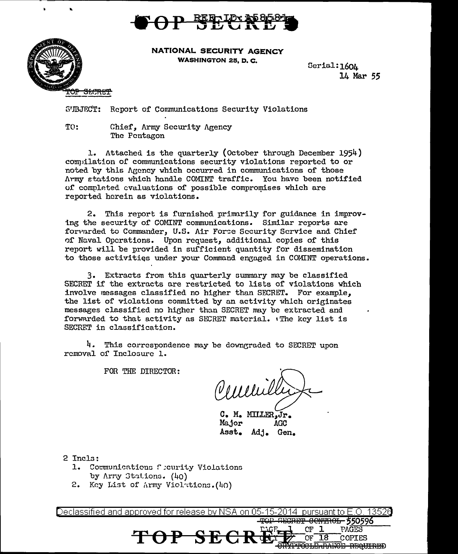



**NATIONAL SECURITY AGENCY WASHINGTON 25, D. C.** 

Serial: 1604 14 Mar 55

S'IBJECT: Report of Communications Security Violations

TO: Chief, Army Security Agency The Pentagon

1. Attached is the quarterly (October through December 1954) compilation of communications security violations reported to or noted by this Agency which occurred in communications of those Army stations which handle COMINT traffic. You have been notified of completed cvaluations of possible compromises which are reported herein as violations.

2. This report is furnished primarily for guidance in improving the security of COMINT communications. Similar reports are forwarded to Commander, U.S. Air Forse Security Service and Chief of Naval Operations. Upon request, additional copies of this report will be provided in sufficient quantity for dissemination to those activities under your Command engaged in COMINT operations.

3. Extracts from this quarterly summary may be classified SECRET if the extracts are restricted to lists of violations which involve messages classified no higher than SECRET. For example, the list of violations committed by an activity which originates messages classified no higher than SECRET may be extracted and forwarded to that activity as SECRET material. The key list is SECRET in classification.

4. This correspondence may be downgraded to SECRET upon removal of Inclosure 1.

FOR THE DIRECTOR:

Veneu

 $C_{\Gamma}$  1

 $OF$  18

**PAGES** 

COPIES TOCLEARANCE REQUIRED

C. M. MILLER, Jr. Major **AGC** Asst. Adj. Gen.

2 Incls:

1. Communications fecurity Violations by Army Stations. (40)

 $\Theta$ 

2. Key List of Army Violations. (40)

Declassified and approved for release by NSA on 05-15-2014 pursuant to E.O. 13526 SECRET CONTROL 550596

SE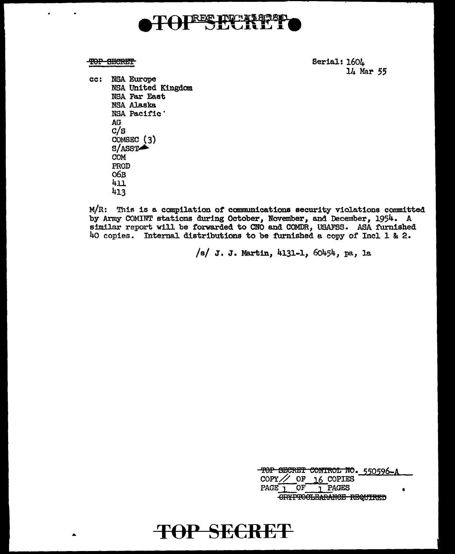

### TOP SECRET

Serial: 1604 14 Mar 55

cc: NSA Europe NSA United Kingdom NSA Far East **NSA Alaska** NSA Pacific' AG  $c/s$ COMSEC  $(3)$  $S/ASST$ **COM** PROD 06в 411 413

 $M/R$ : This is a compilation of communications security violations committed by Army COMINT stations during October, November, and December, 1954. A similar report will be forwarded to CNO and COMDR, USAFSS. ASA furnished 40 copies. Internal distributions to be furnished a copy of Incl 1 & 2.

/s/ J. J. Martin, 4131-1, 60454, pa, la

TOP SECRET CONTROL NO. 550596 COPY // OF  $16$  COPIES PAGE<sub>1</sub> 1 PAGES  $OF$ CRYPTOCLEARANCE REQUIRED

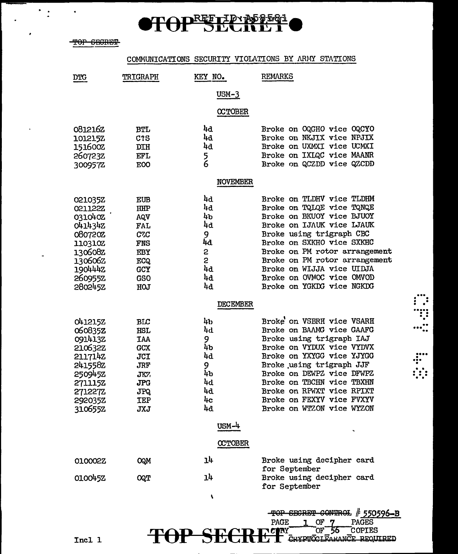

TOP SECRET

 $\bullet$ 

 $\frac{1}{2}$ 

 $\overline{a}$ 

 $\bullet$ 

 $\ddot{\phantom{a}}$ 

 $\blacksquare$ 

### COMMUNICATIONS SECURITY VIOLATIONS BY ARMY STATIONS

| <b>DTC</b>     | <b>TRIGRAPH</b>  | KEY NO.         | <b>REMARKS</b>                             |
|----------------|------------------|-----------------|--------------------------------------------|
|                |                  | $USM-3$         |                                            |
|                |                  | <b>CCTOBER</b>  |                                            |
| 0812162        | <b>BTL</b>       | 4d              | Broke on OQGHO vice OQCYO                  |
| 101215Z        | C2S              | 44              | Broke on NKJIX vice NPJIX                  |
| 151600Z        | DIH              | 4d              | Broke on UXMXI vice UCMXI                  |
| 260723Z        | <b>EFL</b>       | 5<br>6          | Broke on IXLQC vice MAANR                  |
| 300957Z        | <b>EOO</b>       |                 | Broke on QCZDD vice QZCDD                  |
|                |                  | <b>NOVEMBER</b> |                                            |
| 021035Z        | EUB              | 4d              | Broke on TLDHV vice TLDHM                  |
| 0211222        | <b>IHP</b>       | 4d              | Broke on TQLQE vice TQNQE                  |
| 031040Z        | AQV              | 4b              | Broke on BKUOY vice BJUOY                  |
| 0414342        | <b>FAL</b>       | 4d              | Broke on IJAUK vice LJAUK                  |
| 0807202        | C <sub>Z</sub> C | 9               | Broke using trigraph CBC                   |
| 110310Z        | <b>FNS</b>       | 44              | Broke on SXKHO vice SXKHC                  |
| 130608Z        | EBY              | 2               | Broke on PM rotor arrangement              |
| 1306062        | <b>ECQ</b>       | S               | Broke on PM rotor arrangement              |
| 1904442        | GCY              | 4d              | Broke on WIJJA vice UIDJA                  |
| 260955Z        | <b>GSO</b>       | 4d              | Broke on OVMOC vice OMVOD                  |
| 2802452        | HOJ              | 4d              | Broke on YGKDG vice NGKDG                  |
|                |                  | <b>DECEMBER</b> |                                            |
| 041215Z        | BLC              | 4b              | Broke on VSBRH vice VSARH                  |
| 060835Z        | HSL              | 4d              | Broke on BAAMG vice GAAFG                  |
| 0914132        | <b>IAA</b>       | 9               | Broke using trigraph IAJ                   |
| 210632Z        | <b>GCX</b>       | 4b              | Broke on VYDUX vice VYDVX                  |
| 2117142        | <b>JCI</b>       | 4d              | Broke on YXYGG vice YJYGG                  |
| 241558Z        | <b>JRF</b>       | 9               | Broke using trigraph JJF                   |
| 250945Z        | JK7.             | 4b              | Broke on DEWPZ vice DFWPZ                  |
| <b>271115Z</b> | <b>JPG</b>       | 4d              | Broke on TBCHN vice TBXHN                  |
| <b>271227Z</b> | JPQ.             | 4d              | Broke on RPWXT vice RPIXT                  |
| 2920352        | IEP              | 4c              | Broke on FEXYV vice FVXYV                  |
| 3106552        | <b>JXJ</b>       | 4d              | Broke on WTZON vice WYZON                  |
|                |                  | $USM-4$         |                                            |
|                |                  | <b>OCTOBER</b>  |                                            |
| 010002Z        | <b>OQM</b>       | 14              | Broke using decipher card                  |
| 0100452        | <b>CQT</b>       | 4נ              | for September<br>Broke using decipher card |
|                |                  |                 | for September                              |
|                |                  | ۷               |                                            |
|                |                  |                 | TOP SECRET CONTROL # 550596-B              |
|                |                  |                 | <b>PAGES</b><br>PAGE<br>1 OF               |

 $\cdot$ 

 $\dddot{...}$ 

 $\frac{1}{2}$ 

Incl 1

CONY OF 56 COPIES **TOP SECI** К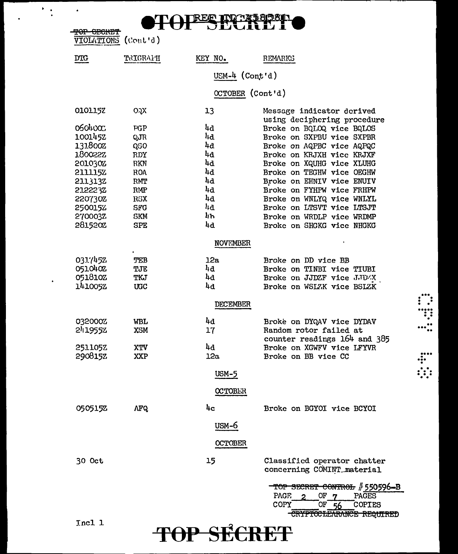# REE ITO NE 858

TOP GECRET VIOLATIONS (Cont'd)

 $\ddot{=}$ 

.

 $\bullet$ 

| $\lambda$ TATELTAND (AGUD A) |            |                  |                                                           |
|------------------------------|------------|------------------|-----------------------------------------------------------|
| <b>DTG</b>                   | TRIGRAFH   | KEY NO.          | <b>REMARKS</b>                                            |
|                              |            | USM-4 $(Cont d)$ |                                                           |
|                              |            | OCTOBER (Cont'd) |                                                           |
| 0101152                      | OQX        | 13               | Message indicator derived<br>using deciphering procedure  |
| 0504000                      | PGP        | 4d               | Broke on BQLOQ vice BQLOS                                 |
| 1001452                      | QJR        | 4d               | Broke on SXPBU vice SXPBR                                 |
| 131800Z                      | QSO        | 4d               | Broke on AQPBC vice AQPQC                                 |
| 1.80022Z                     | RDY        | 4d               | Broke on KRJXH vice KRJXF                                 |
| 2010302                      | <b>RKN</b> | 4d               | Broke on XQUHG vice XLUHG                                 |
| 211115Z                      | <b>ROA</b> | 4d               | Broke on TEGHW vice OEGHW                                 |
| 2113132                      | RMT        | 4d               | Broke on EHNIV vice ENUIV                                 |
| 212223Z                      | RMP        | 4d               | Broke on FYHPW vice FRHPW                                 |
| 220730Z                      | RSX        | 4d               | Broke on WNLYQ vice WNLYL                                 |
| 2500152                      | <b>SFG</b> | 4d               | Broke on LTSVT vice LTSJT                                 |
| 270003Z                      | <b>SKM</b> | կԽ               | Broke on WRDLP vice WRDMP                                 |
| 2815202                      | <b>SPE</b> | 4d               | Broke on SHGKG vice NHGKG                                 |
|                              |            | <b>NOVEMBER</b>  |                                                           |
| 0317452                      | TEB        | 12a              | Broke on DD vice BB                                       |
| 0510402                      | TJE        | 4d               | Broke on TINBI vice TIUBI                                 |
| 051810Z                      | TKJ        | 4d               | Broke on JJDZF vice JJDZX                                 |
| 141005Z                      | UGC        | 4d               | Broke on WSLZK vice BSLZK                                 |
|                              |            | DECEMBER         |                                                           |
| 032000Z                      | WBL        | 4d               | Broke on DYQAV vice DYDAV                                 |
| 2419552                      | <b>XSM</b> | 17               | Random rotor failed at                                    |
|                              |            |                  | counter readings 164 and 385                              |
| 251105Z                      | XTV        | 4d               | Broke on XGWFV vice LFYVR                                 |
| 290815Z                      | XXP        | 12a              | Broke on BB vice CC                                       |
|                              |            | <b>USM-5</b>     |                                                           |
|                              |            | <b>CCTOBER</b>   |                                                           |
| 0505152                      | AFQ.       | 4c               | Broke on BGYOI vice BCYOI                                 |
|                              |            |                  |                                                           |
|                              |            | USM-6            |                                                           |
|                              |            | <b>OCTOBER</b>   |                                                           |
| 30 Oct                       |            | 15               | Classified operator chatter<br>concerning COMINT material |

TOP SECRET

∵:

 $\ddotsc$ 

 $\ddot{...}$ 

 $\ddot{a}$ 

TOP SECRET CONTROL # 550596-B  $OF_7$ 

THE OF 56 COPIES

PAGES

PAGE

COPY

 $\overline{2}$ 

Incl 1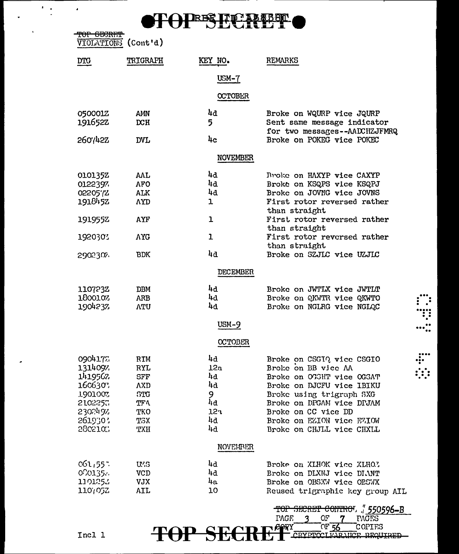# TOPESECATET

| TOP SECRET<br><b>VIOLATIONS</b> | (Cont <sup>t</sup> d) |                  |                                                              |
|---------------------------------|-----------------------|------------------|--------------------------------------------------------------|
| <b>DIG</b>                      | <b>TRIGRAPH</b>       | KEY NO.          | <b>REMARKS</b>                                               |
|                                 |                       | $USM-7$          |                                                              |
|                                 |                       | <b>OCTOBER</b>   |                                                              |
|                                 |                       |                  |                                                              |
| 0500012                         | AMN                   | 4d               | Broke on WQURP vice JQURP                                    |
| 191652Z                         | DCH                   | 5                | Sent same message indicator<br>for two messages--AADCHZJFMRQ |
| 260742Z                         | <b>DVL</b>            | 4c               | Broke on POKEG vice POKEC                                    |
|                                 |                       | <b>NOVEMBER</b>  |                                                              |
| 0101352                         | AAL                   | 4d               | Broke on HAXYP vice CAXYP                                    |
| 0122397                         | <b>AFO</b>            | 4d               | Broke on KSQPS vice KSQPJ                                    |
| 0220572                         | ALK                   | 4d               | Broke on JOVNG vice JOVNS                                    |
| 191845Z                         | <b>AYD</b>            | 1                | First rotor reversed rather                                  |
|                                 |                       |                  | than straight                                                |
| 191955Z                         | AYF                   | ı                | First rotor reversed rather<br>than straight                 |
| 1920301                         | <b>AYG</b>            | ı                | First rotor reversed rather                                  |
|                                 |                       |                  | than straight                                                |
| 2902307.                        | BDK                   | 4d               | Broke on SZJLC vice UZJLC                                    |
|                                 |                       | <b>DECEMBER</b>  |                                                              |
| 110723Z                         | DBM                   | 4d               | Broke on JWTLX vice JWTLT                                    |
| 180010%                         | ARB                   | րզ               | Broke on QKWTR vice QKWTO                                    |
| 1904237                         | <b>ATU</b>            | 4d               | Broke on NGLRG vice NGLQC                                    |
|                                 |                       | $USM-9$          |                                                              |
|                                 |                       | <b>OCTOBER</b>   |                                                              |
| 0904177.                        | RIM                   | 4d               | Broke on CSGIQ vice CSGIO                                    |
| 1314097.                        | KXL                   | מצב              | Broke on BB vice AA                                          |
| 1419562                         | SFF                   | 4d               | Broke on OGGHT vice OGGAT                                    |
| 1606307                         | AXD                   | 4d               | Broke on DJCFU vice IBIKU                                    |
| 1901007                         | STG                   | 9                | Broke using trigraph SXG                                     |
| 2102257                         | ፒፑላ                   | $l_1d$           | Broke on DPGAM vice DPJAM                                    |
| 230249%                         | TKO                   | 12 <sub>1</sub>  | Broke on CC vice DD                                          |
| 2619303                         | TSX                   | 4d               | Broke on EZION vice EZIOW                                    |
| 2802103                         | TXH                   | $^{1}$ 4d        | Broke on CHJLL vice CHXLL                                    |
|                                 |                       | <b>NOVEL TER</b> |                                                              |
|                                 |                       | 4d               |                                                              |
| 061,557                         | U.S                   | 4d               | Broke on XLHOK vice XLHOZ                                    |
| 0001354                         | VCD                   |                  | Broke on DLXNJ vice DIANT                                    |
| 1101253<br>110,052              | VJX<br>AIL            | 4a<br>10         | Broke on OBSXW vice OBSWX<br>Reused trigraphic key group AIL |
|                                 |                       |                  |                                                              |
|                                 |                       |                  | TOP SECRET CONTROL " 550596-B                                |
|                                 |                       |                  | <b>TAGE</b><br>3<br>OF.<br><b>PAGES</b>                      |

 $\vdots$  $\dddot{}}$  $\cdots$  :

 $\begin{array}{c}\n... \\
... \\
... \\
... \\
... \n\end{array}$ 

Incl 1

 $\frac{1}{\sqrt{2}}$ 

 $\bar{\mathbf{r}}$ 

 $\bullet$ 

 $\bullet$ 

REFERENCEMENTE REQUIRED **TOP SECI**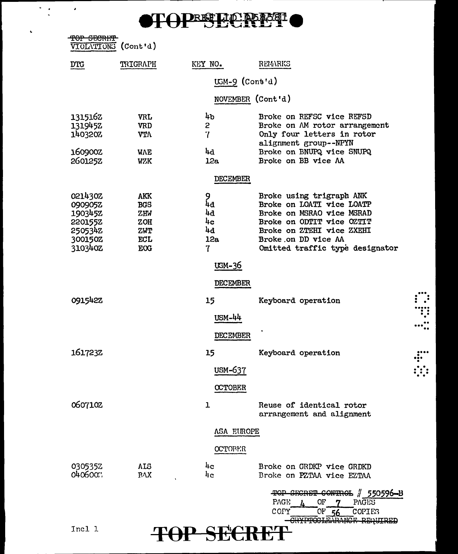

| $\epsilon$ ranum<br><b>TARATA DE L</b><br>VIOLATIONS (Cont'd) |                          |                  |                                                                                                                   |
|---------------------------------------------------------------|--------------------------|------------------|-------------------------------------------------------------------------------------------------------------------|
| DTG                                                           | TRIGRAPH                 | KEY NO.          | REMARKS                                                                                                           |
|                                                               |                          | $USM-9$ (Cont'd) |                                                                                                                   |
|                                                               |                          |                  | NOVEMBER (Cont'd)                                                                                                 |
| 1315162<br>1319452<br>1403202                                 | <b>VRL</b><br>VRD<br>VTA | 4b<br>2<br>7     | Broke on REFSC vice REFSD<br>Broke on AM rotor arrangement<br>Only four letters in rotor<br>alignment group--NPYN |
| 160900Z<br><b>260125Z</b>                                     | WAE<br>WZK               | հժ<br>12a        | Broke on BNUPQ vice SNUPQ<br>Broke on BB vice AA                                                                  |

#### **DECEMBER**

| 021430Z        | <b>AKK</b> | Q   | Broke using trigraph ANK        |
|----------------|------------|-----|---------------------------------|
| 090905Z        | <b>BGS</b> | 4d  | Broke on LOATI vice LOATP       |
| 190345Z        | ZHW        | 4d  | Broke on MSRAO vice MSRAD       |
| <b>2201552</b> | <b>ZOH</b> | 4c  | Broke on ODTIT vice OZTIT       |
| 250534Z        | ZWT        | 4d  | Broke on ZTEHI vice ZXEHI       |
| 300150Z        | <b>ECL</b> | 12a | Broke on DD vice AA             |
| 310340Z        | <b>EOG</b> | 7   | Omitted traffic type designator |

## UGM-36

#### **DECEMBER**

|                    |                          | יונושיונוסעע                |                                                                                                                                               |  |
|--------------------|--------------------------|-----------------------------|-----------------------------------------------------------------------------------------------------------------------------------------------|--|
| 0915422            |                          | 15                          | Keyboard operation                                                                                                                            |  |
|                    |                          | <b>USM-44</b>               |                                                                                                                                               |  |
|                    |                          | <b>DECEMBER</b>             |                                                                                                                                               |  |
| 161723Z            |                          | 15                          | Keyboard operation                                                                                                                            |  |
|                    |                          | USM-637                     |                                                                                                                                               |  |
|                    |                          | <b>CCTOBER</b>              |                                                                                                                                               |  |
| 0607102            |                          | $\mathbf 1$                 | Reuse of identical rotor<br>arrangement and alignment                                                                                         |  |
|                    |                          | ASA EUROPE                  |                                                                                                                                               |  |
|                    |                          | <b>OCTORER</b>              |                                                                                                                                               |  |
| 0305352<br>0406007 | <b>ALS</b><br><b>PVX</b> | $h_{\rm c}$<br>$l_{\rm lc}$ | Broke on GRDKP vice GRDKD<br>Broke on PZTAA vice EZTAA                                                                                        |  |
|                    |                          |                             | $\frac{1}{2}$ 550596-B<br>TOP SECRET CONTROL<br><b>PAGE</b><br>OF<br><b>PAGES</b><br>COPY<br>OF'<br><b>COPIES</b><br>CHYPTOCLEARANCE REGITEED |  |

**TOP SECRET** 

Incl 1

 $\ddot{\phantom{0}}$  $\ddot{\cdot}$   $\lambda$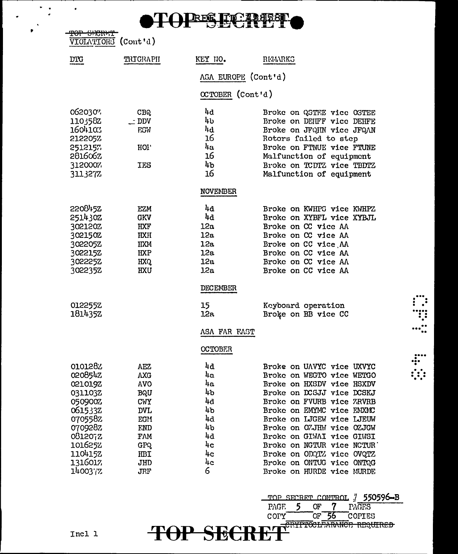#### **TH PRESET PARATION**

| <del>TOP GRORNT</del><br><b>VIOLATIONS</b>                                                                                                  | $($ Cont'd)                                                                                                                        |                                                                                                             |                                                                                                                                                                                                                                                                                                                                                                                        |
|---------------------------------------------------------------------------------------------------------------------------------------------|------------------------------------------------------------------------------------------------------------------------------------|-------------------------------------------------------------------------------------------------------------|----------------------------------------------------------------------------------------------------------------------------------------------------------------------------------------------------------------------------------------------------------------------------------------------------------------------------------------------------------------------------------------|
| <b>DIC</b>                                                                                                                                  | TRIGRAPH                                                                                                                           | KEY NO.                                                                                                     | RELLARKG                                                                                                                                                                                                                                                                                                                                                                               |
|                                                                                                                                             |                                                                                                                                    | ASA EUROPE (Cont'd)                                                                                         |                                                                                                                                                                                                                                                                                                                                                                                        |
|                                                                                                                                             |                                                                                                                                    | OCTOBER (Cont'd)                                                                                            |                                                                                                                                                                                                                                                                                                                                                                                        |
| 0620307<br>110358Z<br>1604103<br>212205%<br>2512157<br>2816067.<br>312000%<br>3113277                                                       | CBQ<br>$\_$ DDV<br><b>F.SV</b><br>HOI'<br><b>IES</b>                                                                               | 4d<br>4Ե<br>կվ<br>16<br>$u_{\alpha}$<br>16<br>4 <sub>b</sub><br>16                                          | Broke on QSTEE vice OSTEE<br>Broke on DEHFF vice DEHFE<br>Broke on JFQHN vice JFQAN<br>Rotors failed to step<br>Broke on FTNUE vice FTUNE<br>Malfunction of equipment<br>Broke on TCDTZ vice TBDTZ<br>Malfunction of equipment                                                                                                                                                         |
|                                                                                                                                             |                                                                                                                                    | NOVEMBER                                                                                                    |                                                                                                                                                                                                                                                                                                                                                                                        |
| 2208452<br>2514302<br>302120Z<br>302150Z<br>302205Z<br>302215Z<br>302225Z<br>302235Z                                                        | <b>EZM</b><br><b>GKV</b><br>HXF<br><b>IIXH</b><br>HXM<br><b>IIXP</b><br>HXQ.<br><b>HXU</b>                                         | 4d<br>4d<br>12a<br>12a<br>12a<br>12a<br>12a<br>12a                                                          | Broke on KWHPS vice KWHPZ<br>Broke on XYBFL vice XYBJL<br>Broke on CC vice AA<br>Broke on CC vice AA<br>Broke on CC vice AA<br>Broke on CC vice AA<br>Broke on CC vice AA<br>Broke on CC vice AA                                                                                                                                                                                       |
| 0122552<br>1814352                                                                                                                          |                                                                                                                                    | <b>DECEMBER</b><br>15<br>12a<br>ASA FAR FAST                                                                | Keyboard operation<br>Broke on BB vice CC                                                                                                                                                                                                                                                                                                                                              |
| 0101282<br>020854Z<br>0210192<br>031103Z<br>050900%<br>061533Z<br>0705582<br>0709282<br>0812072<br>1016252<br>1104152<br>1316017<br>140037% | <b>AEZ</b><br>AXG<br><b>AVO</b><br>BQU<br><b>CWY</b><br><b>DVL</b><br>EGM<br><b>F.ND</b><br>FAM<br><b>GPQ</b><br>HBI<br>JHD<br>JRF | <b>OCTOBER</b><br>4d<br>4a<br>$\mu_{\mathbf{a}}$<br>4b<br>հ4<br>4b<br>4d<br>4b<br>4d<br>4c<br>4c<br>4c<br>6 | Broke on UAVYC vice UXVYC<br>Broke on WEGTO vice WETGO<br>Broke on HXSDV vice HSXDV<br>Broke on DCSJJ vice DCSKJ<br>Broke on FVURB vice ZRVRB<br>Broke on EMYMC vice EMXMC<br>Broke on LJGEW vice LJEUW<br>Broke on OZJHW vice OZJGW<br>Broke on GIWAI vice GIWSI<br>Broke on NGTUR vice NCTUR'<br>Broke on ODQTZ vice OVQTZ<br>Broke on ONTUG vice ONTOG<br>Broke on HURDE vice MURDE |

 $\vdots$ 

 $\frac{1}{1}$ 

TOP SECRET CONTROL # 550596-B<br>PAGE 5 OF 7 PAGES

COPY OF 56 COPIES

COPY<sup>-</sup>

**ET** 

**TOP SEC** 

Incl 1

 $\bullet$  $\ddot{\cdot}$   $\bullet$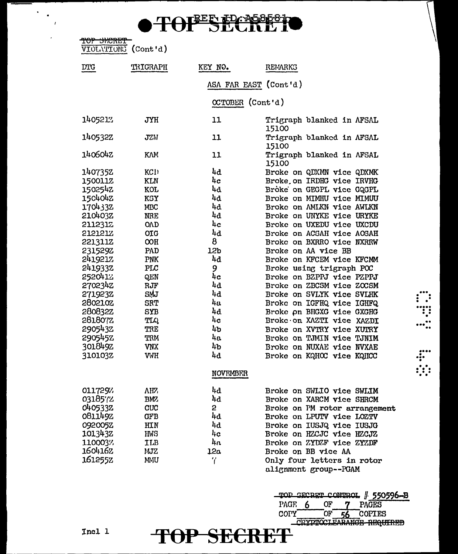|     | TOTREE TD: A5858 ha |
|-----|---------------------|
| TUL | <b>OEURE IV</b>     |

| <del>TOP SKORET</del><br>VIOLATIONS (Cont'd) |            |                       |                                    |
|----------------------------------------------|------------|-----------------------|------------------------------------|
| <b>DTG</b>                                   | TRIGRAPH   | KEY NO.               | <b>REMARKS</b>                     |
|                                              |            | ASA FAR EAST (Cont'd) |                                    |
|                                              |            | CCTOBER (Cont'd)      |                                    |
| 140521%                                      | <b>JYH</b> | 11                    | Trigraph blanked in AFSAL<br>15100 |
| 140532Z                                      | JZN        | 11                    | Trigraph blanked in AFSAL<br>15100 |
| 140604Z                                      | KW         | 11                    | Trigraph blanked in AFSAL<br>15100 |
| 1407352                                      | KC1)       | 44                    | Broke on QDXMN vice QDXMK          |
| 1500112                                      | <b>KLN</b> | 4c                    | Broke on IRDHG vice IRVHG          |
| 150254Z                                      | <b>KOL</b> | 4d                    | Broke on GEGPL vice GQGPL          |
| 1504042                                      | KSY        | 4d                    | Broke on MIMHU vice MIMUU          |
| 170433Z                                      | MBC        | 4d                    | Broke on AMIKN vice AWIKN          |
| 210403Z                                      | <b>NRE</b> | 4d                    | Broke on UNYKE vice URYKE          |
| 2112312                                      | OAD        | 4c                    | Broke on UXEDU vice UXCDU          |
| <b>STSTSTS</b>                               | OIG        | 4d                    | Broke on ACSAH vice AOSAH          |
| 221311Z                                      | OOH        | 8                     | Broke on BXRRO vice NXRRW          |
| 231529Z                                      | PAD        | 12b                   | Broke on AA vice BB                |
| 2419217                                      | <b>PNK</b> | 4d                    | Broke on KFCEM vice KFCMM          |
| 2419332                                      | PLC        | 9                     | Broke using trigraph POC           |
| 2520412                                      | QEN        | 4c                    | Broke on BZPPJ vice PZPPJ          |
| 270234Z                                      | RJF        | 4d                    | Broke on ZBCSM vice ZOCSM          |
| 271923Z                                      | SMJ        | 4d                    | Broke on SVLYK vice SVLHK          |
| 280210Z                                      | <b>SRT</b> | 4a                    | Broke on IGFHQ vice IGHFQ          |
| 280832Z                                      | <b>SYB</b> | 4d                    | Broke on BHGXG vice GXGHG          |
| 2818077.                                     | TLQ        | 4c                    | Broke on XAZTI vice XAZDI          |
| 2905432                                      | TRE        | 4b                    | Broke on XVTRY vice XUTRY          |
| 2905452                                      | TRM        | 4a                    | Broke on TJMIN vice TJNIM          |
| 301849Z                                      | <b>VNX</b> | $\mu_{\rm b}$         | Broke on NUXAE vice NVXAE          |
| 310103Z                                      | <b>VWH</b> | 4d                    | Broke on KQHOC vice KQHCC          |
|                                              |            | <b>NOVEMBER</b>       |                                    |
| 011729%                                      | AHZ.       | կվ                    | Broke on SWLIO vice SWLIM          |
| 0318572                                      | BMZ        | 4d                    | Broke on XARCM vice SHRCM          |
| 0405332                                      | CUC        | $\mathbf{2}$          | Broke on PM rotor arrangement      |
| 0811492                                      | <b>GFB</b> | 4d                    | Broke on LPUTV vice LOZTV          |
| 092005Z                                      | HIN        | 4d                    | Broke on IUSJQ vice IUSJG          |
| 101343Z                                      | <b>IMS</b> | 4c                    | Broke on HZCJC vice HZCJZ          |
| 110003%                                      | ILB        | 4a                    | Broke on ZYDZF vice ZYZDF          |
| 1604162                                      | MJZ        | 12a                   | Broke on BB vice AA                |
| 161255Z                                      | MMU        | 7                     | Only four letters in rotor         |
|                                              |            |                       | alignment group--PGAM              |

TOP SECRET

TOP SECRET CONTROL # 550596-B<br>PAGE 6 OF 7 PAGES

 $\frac{\text{OF}}{\text{OF}}$  56 COPY OF 56 COPIES

 $\ddot{\cdot}$ ∷  $\cdots$ 

 $\begin{array}{c}\n... \\
... \\
... \\
... \\
... \\
... \n\end{array}$ 

 $\mathcal{F}_{\mathcal{A}}$ 

 $\mathbf{r}$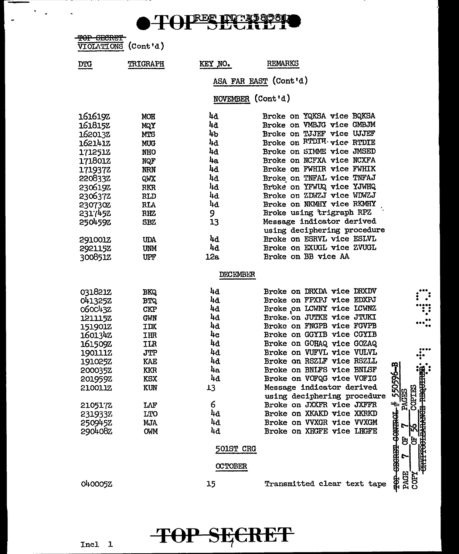

TOP SECRET<br>VIOLATIONS (Cont'd)

 $\bullet$ J.

> $DTG$ TRIGRAPH KEY NO. **REMARKS**

> > ASA FAR EAST (Cont'd)

NOVEMBER (Cont'd)

| 161619Z        | <b>MOH</b> | 44               | Broke on YQKSA vice BQKSA   |                           |
|----------------|------------|------------------|-----------------------------|---------------------------|
| 1618152        | MQY        | 4a               | Broke on VMBJG vice GMBJM   |                           |
| 162013Z        | <b>MTS</b> | 4ъ               | Broke on TJJEF vice UJJEF   |                           |
| 1621412        | <b>MUG</b> | 4d               | Broke on RTDIH vice RTDIE   |                           |
| 1712512        | <b>NHO</b> | 4d               | Broke on SIMME vice JMSED   |                           |
| 171801Z        | NQF        | 4a               | Broke on NCFXA vice NCXFA   |                           |
| 1719372        | <b>NRN</b> | 4d               | Broke on FWHIR vice FWHIK   |                           |
| 220833Z        | QWX        | 4d               | Broke on TNFAL vice TNFAJ   |                           |
| 2306192        | <b>RKR</b> | 4d               | Broke on YFWUQ vice YJWHQ   |                           |
| 2306372        | RLD        | 4d               | Broke on ZDWZJ vice WDWZJ   |                           |
| 230730Z        | <b>RLA</b> | 4d               | Broke on NKMHY vice RKMHY   |                           |
| 2317452        | <b>RHZ</b> | 9                | Broke using trigraph RPZ    |                           |
| 2504592        | <b>SBZ</b> | 13               | Message indicator derived   |                           |
|                |            |                  | using deciphering procedure |                           |
| 2910012        | <b>UDA</b> | 4d               | Broke on ESRVL vice ESLVL   |                           |
| 2921152        | <b>UNM</b> | 4d               | Broke on EXUGL vice ZVUGL   |                           |
| 300851Z        | UPF        | 12a              | Broke on BB vice AA         |                           |
|                |            | <b>DECEMBER</b>  |                             |                           |
| 031821Z        | <b>BKQ</b> | 4d               | Broke on DRXDA vice DRXDV   |                           |
| <b>041325Z</b> | <b>BTQ</b> | 4d               | Broke on FPXPJ vice EDXPJ   |                           |
| 0600432        | <b>CKP</b> | 4d               | Broke on LCWNY vice LCWNZ   |                           |
| 1211152        | <b>GWN</b> | 4d               | Broke. on JUTKE vice JTUKI  |                           |
| <b>151901Z</b> | IDX        | 4d               | Broke on FNGPB vice FGVPB   |                           |
| 1601342        | IHR        | 4c               | Broke on GGYIB vice CGYIB   |                           |
| 161509Z        | ILR        | 4d               | Broke on GOHAQ vice GOZAQ   |                           |
| 190111Z        | <b>JTP</b> | 4d               | Broke on VUFVL vice VULVL   |                           |
| 191025Z        | KAE        | 4d               | Broke on RSZLF vice RSZLL   |                           |
| 200035Z        | <b>KKR</b> | 4a               | Broke on BNLFS vice BNLSF   | ကူ                        |
| 201959Z        | <b>KSX</b> | 4d               | Broke on VOFQG vice VOFIG   |                           |
| 210011Z        | <b>KUN</b> | 13               | Message indicator derived   | 550596                    |
|                |            |                  | using deciphering procedure | <b>PACES</b><br>COPTES    |
| 2105172        | LAF        | 6                | Broke on JXXFR vice JXFFR   | $\ddot{}$                 |
| 231933Z        | LTO        | 4d               | Broke on XKAKD vice XKRKD   |                           |
| 250945Z        | MJA        | 4d               | Broke on VVXGR vice VVXGM   |                           |
| 290408Z        | <b>OWM</b> | 4d               | Broke on XHGFE vice LHGFE   | <b>CONTROL</b><br>r<br>얾. |
|                |            |                  |                             | 5.5                       |
|                |            | <b>501ST CRG</b> |                             |                           |
|                |            |                  |                             | <b>EECEED</b><br>r        |
|                |            | <b>CCTOBER</b>   |                             |                           |
| O40005Z        |            | 15               | Transmitted clear text tape | <b>PAGE</b><br>COPY       |

:<br>:

 $\cdot$  .

五<br><del>111000万</del>元

**CONTROL** 

PACE



Incl 1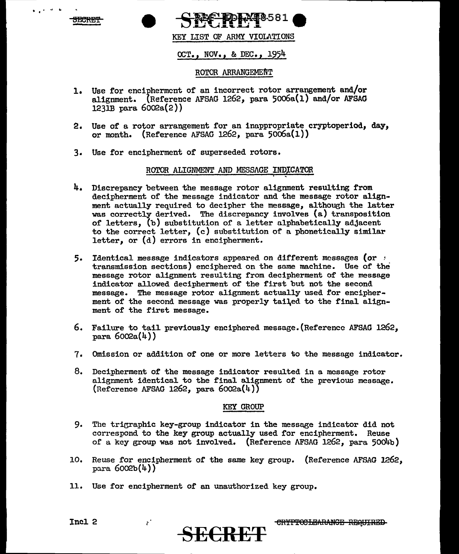

• I '



KEY LIST OF ARMY VIOLATIONS

OCT., NOV., & DEC., 1954

#### ROTOR ARRANGEMENT

- 1. Use for encipherment of an incorrect rotor arrangement and/or alignment. {Reference AFSAG 1262, para 5oo6a(l) and/or AFSAG  $123I\text{B}$  para  $6002a(2)$ )
- 2. Use of a rotor arrangement for an inappropriate cryptoperiod, day, or month. (Reference AFSAG 1262, para  $5006a(1)$ )
- Use for encipherment of superseded rotors.

# ROTOR ALIGNMENT AND MESSAGE INDICATOR

- 4. Discrepancy between the message rotor alignment resulting from decipherment of the message indicator and the message rotor alignment actually required to decipher the message, although the latter was correctly derived. The discrepancy involves (a) transposition of letters, (b) substitution of a letter alphabetically adjacent to the correct letter, (c) substitution of a phonetically similar letter, or (d) errors in encipherment.
- 5. Identical message indicators appeared on different messages (or  $\rightarrow$ transmission sections) enciphered on the same machine. Use of the message rotor alignment resulting from decipherment or the message indicator allowed decipherment of the first but not the second message. The message rotor alignment actually used for encipherment of the second message was properly tailed to the final alignment of the first message.
- 6. Failure to tail previously enciphered message.(Referencc AFSAG 1262,  $para 6002a(4)$
- Omission or addition of one or more letters to the message indicator.
- 8. Decipherment of the message indicator resulted in a message rotor alignment identical to the final alignment or the previous message.  $(Reference AFSAG 1262, para 6002a(4))$

#### KEY GROUP

- 9. The trigraphic key-group indicator in the message indicator did not correspond to the key group actually used for encipherment. Reuse of a key group was not involved. (Reference AFSAG 1262, para 50o4b)
- 10. Reuse for encipherment or the same key group. (Reference AFSAG 1262, para  $6002b(4)$ )

**SE€RET** 

11. Use for encipherment or an unauthorized key group.